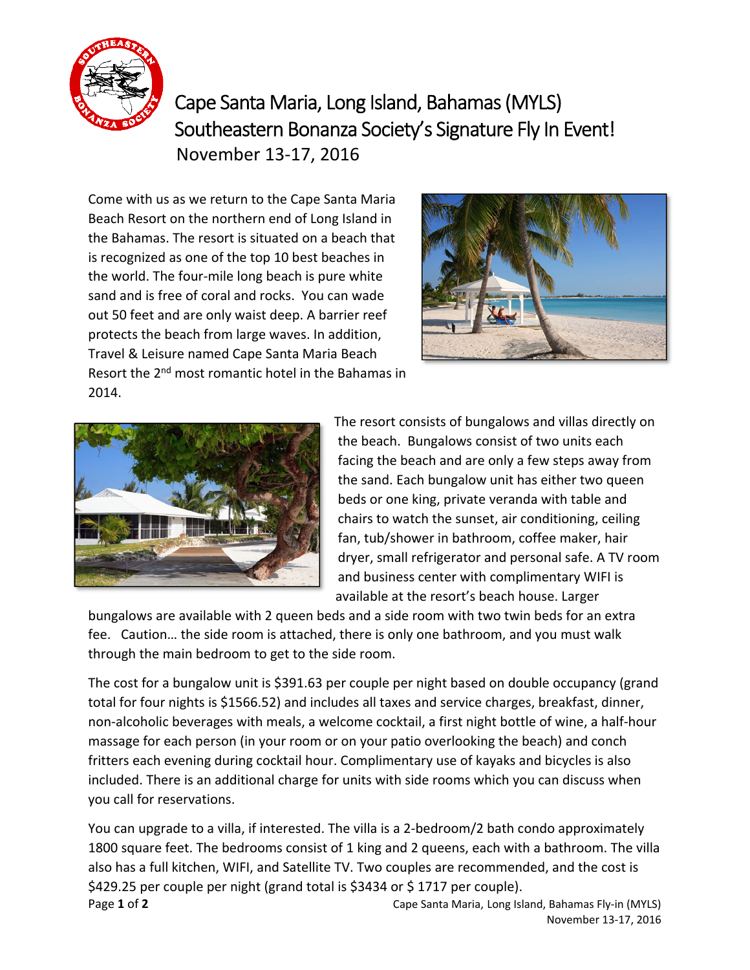

Cape Santa Maria, Long Island, Bahamas (MYLS) Southeastern Bonanza Society's Signature Fly In Event! November 13‐17, 2016

Come with us as we return to the Cape Santa Maria Beach Resort on the northern end of Long Island in the Bahamas. The resort is situated on a beach that is recognized as one of the top 10 best beaches in the world. The four‐mile long beach is pure white sand and is free of coral and rocks. You can wade out 50 feet and are only waist deep. A barrier reef protects the beach from large waves. In addition, Travel & Leisure named Cape Santa Maria Beach Resort the 2<sup>nd</sup> most romantic hotel in the Bahamas in 2014.





The resort consists of bungalows and villas directly on the beach. Bungalows consist of two units each facing the beach and are only a few steps away from the sand. Each bungalow unit has either two queen beds or one king, private veranda with table and chairs to watch the sunset, air conditioning, ceiling fan, tub/shower in bathroom, coffee maker, hair dryer, small refrigerator and personal safe. A TV room and business center with complimentary WIFI is available at the resort's beach house. Larger

bungalows are available with 2 queen beds and a side room with two twin beds for an extra fee. Caution… the side room is attached, there is only one bathroom, and you must walk through the main bedroom to get to the side room.

The cost for a bungalow unit is \$391.63 per couple per night based on double occupancy (grand total for four nights is \$1566.52) and includes all taxes and service charges, breakfast, dinner, non‐alcoholic beverages with meals, a welcome cocktail, a first night bottle of wine, a half‐hour massage for each person (in your room or on your patio overlooking the beach) and conch fritters each evening during cocktail hour. Complimentary use of kayaks and bicycles is also included. There is an additional charge for units with side rooms which you can discuss when you call for reservations.

**Page 1 of 2 2** *Cape Santa Maria, Long Island, Bahamas Fly-in (MYLS)* You can upgrade to a villa, if interested. The villa is a 2‐bedroom/2 bath condo approximately 1800 square feet. The bedrooms consist of 1 king and 2 queens, each with a bathroom. The villa also has a full kitchen, WIFI, and Satellite TV. Two couples are recommended, and the cost is \$429.25 per couple per night (grand total is \$3434 or \$1717 per couple).